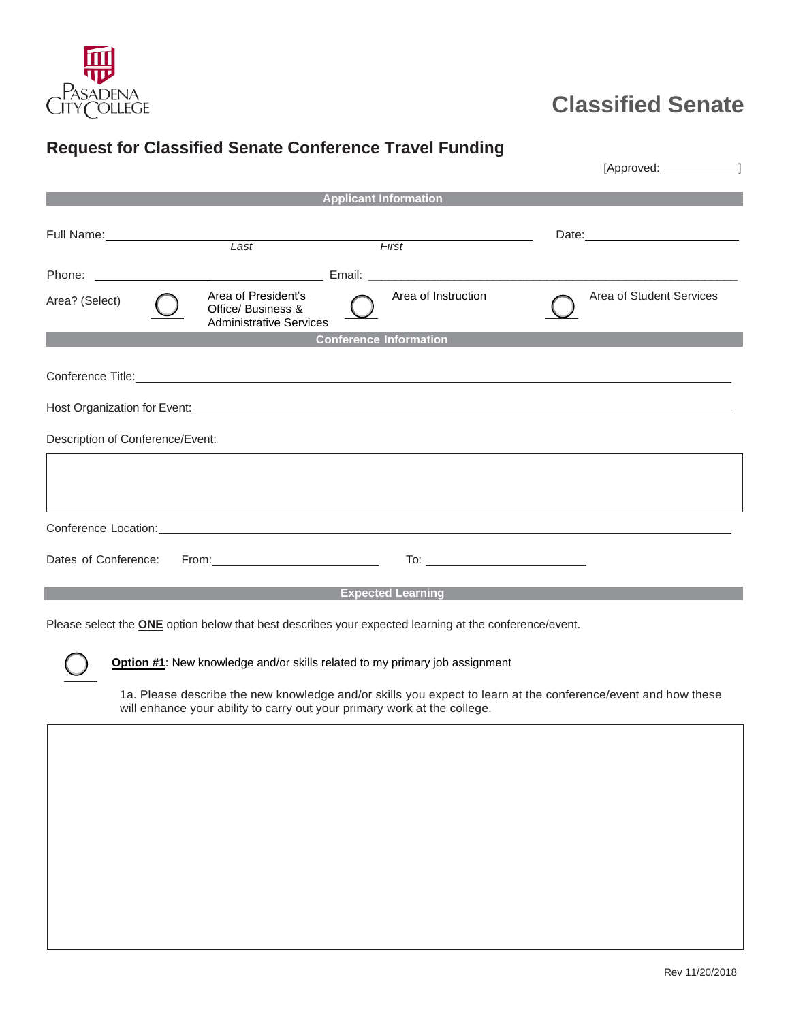

## **Classified Senate**

## **Request for Classified Senate Conference Travel Funding**

| <b>Applicant Information</b>                                                                                                                                                                                                                           |                                                                                                                |
|--------------------------------------------------------------------------------------------------------------------------------------------------------------------------------------------------------------------------------------------------------|----------------------------------------------------------------------------------------------------------------|
| Full Name: Name and Second Committee of the Committee of the Committee of the Committee of the Committee of the Committee of the Committee of the Committee of the Committee of the Committee of the Committee of the Committe<br>Last<br><b>First</b> | Date: 2008 2010 2010 2021 2022 2023 2024 2022 2022 2023 2024 2022 2023 2024 2022 2023 2024 2025 2026 2027 2028 |
|                                                                                                                                                                                                                                                        |                                                                                                                |
| Area of President's<br>Area of Instruction<br>Area? (Select)<br>Office/ Business &<br><b>Administrative Services</b>                                                                                                                                   | Area of Student Services                                                                                       |
| <b>Conference Information</b>                                                                                                                                                                                                                          |                                                                                                                |
| Conference Title: <u>Conference Title</u>                                                                                                                                                                                                              |                                                                                                                |
| Description of Conference/Event:                                                                                                                                                                                                                       |                                                                                                                |
| ,我们也不能会有一个人的事情。""我们的人,我们也不能会有一个人的人,我们也不能会有一个人的人,我们也不能会有一个人的人。""我们的人,我们也不能会有一个人的人,                                                                                                                                                                      |                                                                                                                |
| Conference Location: <u>content of the content of the content of the content of the content of the content of</u>                                                                                                                                      |                                                                                                                |
| Dates of Conference:                                                                                                                                                                                                                                   |                                                                                                                |
| <b>Expected Learning</b> Contract Contract Contract Contract Contract Contract Contract Contract Contract Contract Con                                                                                                                                 |                                                                                                                |
| Please select the <b>ONE</b> option below that best describes your expected learning at the conference/event.                                                                                                                                          |                                                                                                                |
| Option #1: New knowledge and/or skills related to my primary job assignment                                                                                                                                                                            |                                                                                                                |

1a. Please describe the new knowledge and/or skills you expect to learn at the conference/event and how these will enhance your ability to carry out your primary work at the college.